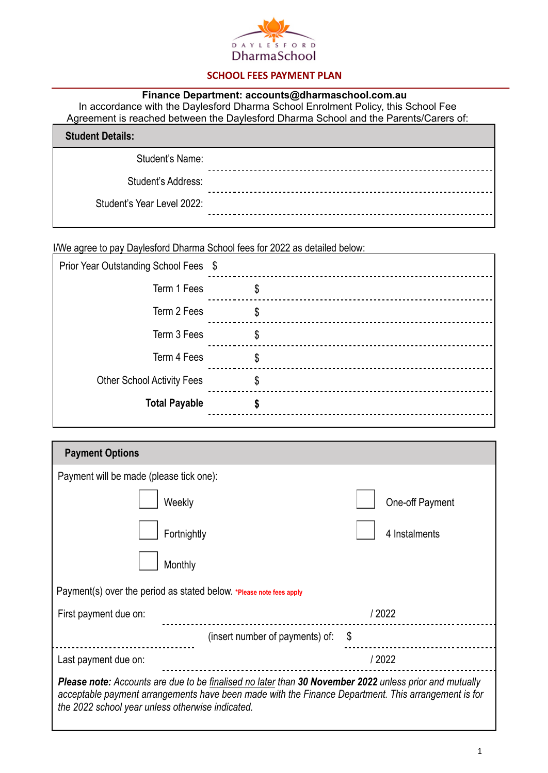

## **SCHOOL FEES PAYMENT PLAN**

## **Finance Department: accounts@dharmaschool.com.au**

In accordance with the Daylesford Dharma School Enrolment Policy, this School Fee Agreement is reached between the Daylesford Dharma School and the Parents/Carers of:

| <b>Student Details:</b>    |  |
|----------------------------|--|
| Student's Name:            |  |
| Student's Address:         |  |
| Student's Year Level 2022: |  |
|                            |  |

I/We agree to pay Daylesford Dharma School fees for 2022 as detailed below:

| Prior Year Outstanding School Fees \$ |    |
|---------------------------------------|----|
| Term 1 Fees                           | \$ |
| Term 2 Fees                           | \$ |
| Term 3 Fees                           | \$ |
| Term 4 Fees                           | \$ |
| <b>Other School Activity Fees</b>     | \$ |
| <b>Total Payable</b>                  |    |
|                                       |    |

| <b>Payment Options</b>                                                                                                                                                                                                                                            |                 |  |
|-------------------------------------------------------------------------------------------------------------------------------------------------------------------------------------------------------------------------------------------------------------------|-----------------|--|
| Payment will be made (please tick one):                                                                                                                                                                                                                           |                 |  |
| Weekly                                                                                                                                                                                                                                                            | One-off Payment |  |
| Fortnightly                                                                                                                                                                                                                                                       | 4 Instalments   |  |
| Monthly                                                                                                                                                                                                                                                           |                 |  |
| Payment(s) over the period as stated below. *Please note fees apply                                                                                                                                                                                               |                 |  |
| First payment due on:                                                                                                                                                                                                                                             | / 2022          |  |
| (insert number of payments) of:                                                                                                                                                                                                                                   | \$              |  |
| Last payment due on:                                                                                                                                                                                                                                              | / 2022          |  |
| Please note: Accounts are due to be finalised no later than 30 November 2022 unless prior and mutually<br>acceptable payment arrangements have been made with the Finance Department. This arrangement is for<br>the 2022 school year unless otherwise indicated. |                 |  |